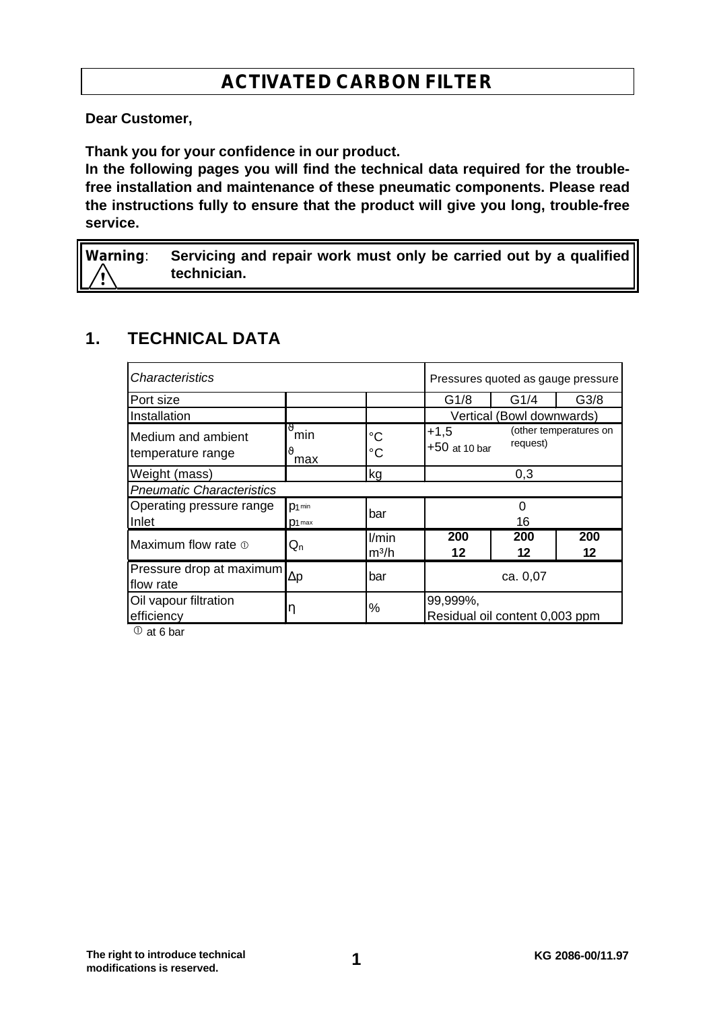# **ACTIVATED CARBON FILTER**

**Dear Customer,**

**Thank you for your confidence in our product.**

**In the following pages you will find the technical data required for the troublefree installation and maintenance of these pneumatic components. Please read the instructions fully to ensure that the product will give you long, trouble-free service.**

**Warning**: **Servicing and repair work must only be carried out by a qualified technician.**

## **1. TECHNICAL DATA**

| <i><b>Characteristics</b></i>           |                         |                  | Pressures quoted as gauge pressure         |           |                        |
|-----------------------------------------|-------------------------|------------------|--------------------------------------------|-----------|------------------------|
| Port size                               |                         |                  | G1/8                                       | G1/4      | G <sub>3/8</sub>       |
| Installation                            |                         |                  | Vertical (Bowl downwards)                  |           |                        |
| Medium and ambient<br>temperature range | ng<br>min<br>max        | °C<br>°C         | $+1,5$<br>$+50$ at 10 bar                  | request)  | (other temperatures on |
| Weight (mass)                           |                         | kg               | 0,3                                        |           |                        |
| <b>Pneumatic Characteristics</b>        |                         |                  |                                            |           |                        |
| Operating pressure range                | $p_1$ min<br>bar        |                  | 0                                          |           |                        |
| Inlet                                   | $D1$ max                |                  | 16                                         |           |                        |
| Maximum flow rate $\Phi$                | $\mathsf{Q}_\mathsf{n}$ | l/min<br>$m^3/h$ | 200<br>12                                  | 200<br>12 | 200<br>12              |
| Pressure drop at maximum<br>flow rate   | $\Delta p$              | bar              | ca. 0,07                                   |           |                        |
| Oil vapour filtration<br>efficiency     |                         | %                | 99,999%,<br>Residual oil content 0,003 ppm |           |                        |

 $\overline{0}$  at 6 bar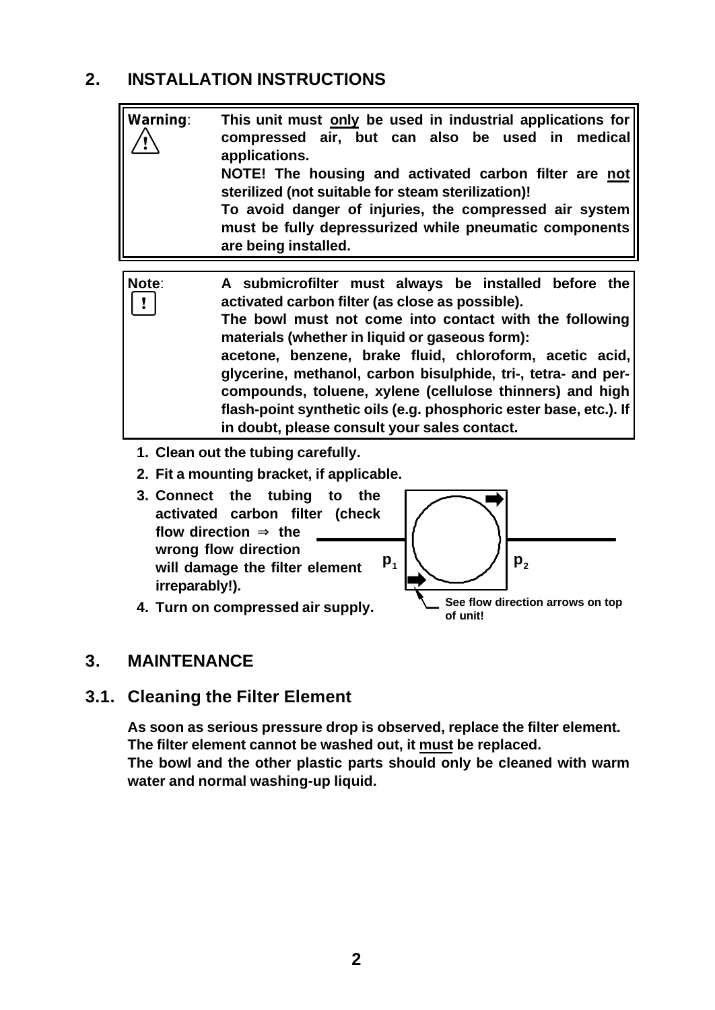## **2. INSTALLATION INSTRUCTIONS**



- **activated carbon filter (check flow direction Þ the wrong flow direction will damage the filter element irreparably!).**
	- **See flow direction arrows on top of unit!**  $\mathsf{p}_1 \hspace{.08cm} \vert \hspace{.08cm} \big\vert \hspace{.2cm} \big\vert \hspace{.2cm} \hspace{.2cm} \hspace{.2cm} \big\vert \hspace{.2cm} \mathsf{p}_2$
- **4. Turn on compressed air supply.**

### **3. MAINTENANCE**

### **3.1. Cleaning the Filter Element**

**As soon as serious pressure drop is observed, replace the filter element. The filter element cannot be washed out, it must be replaced. The bowl and the other plastic parts should only be cleaned with warm water and normal washing-up liquid.**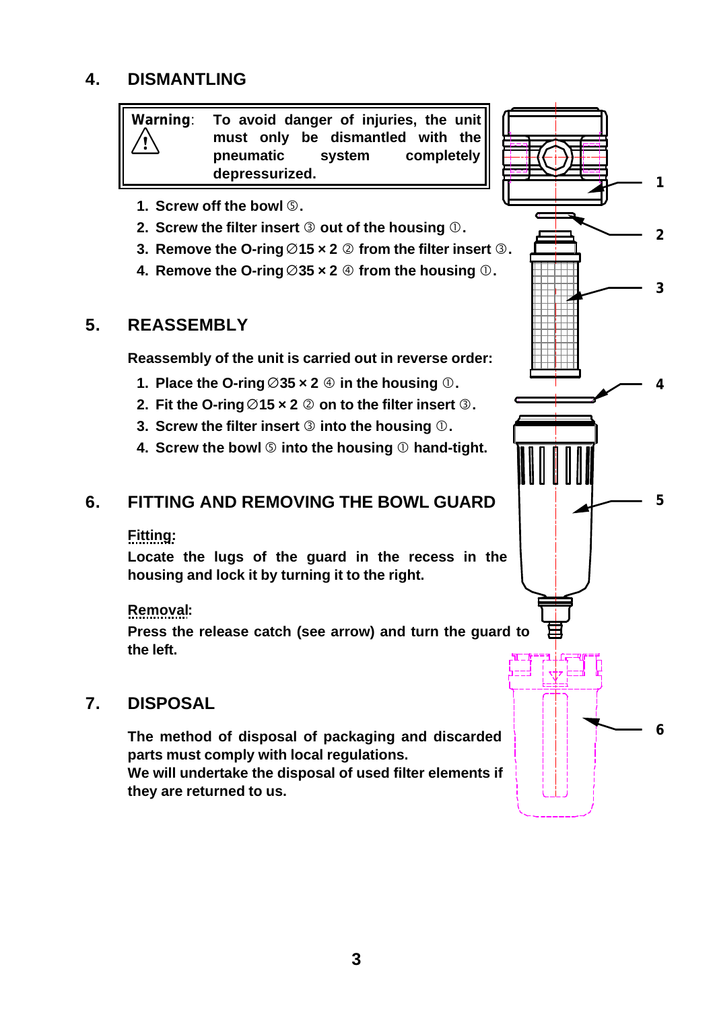## **4. DISMANTLING**

 **Warning**: **To avoid danger of injuries, the unit must only be dismantled with the pneumatic system completely depressurized.** 1

- **1. Screw off the bowl** Ö**.**
- **2. Screw the filter insert**  $\circledcirc$  **out of the housing**  $\circledcirc$ **.**
- **3.** Remove the O-ring  $\emptyset$ 15 x 2  $\emptyset$  from the filter insert  $\emptyset$ .
- **4.** Remove the O-ring  $\emptyset$ 35 x 2  $\oplus$  from the housing  $\oplus$ .

#### **5. REASSEMBLY**

**Reassembly of the unit is carried out in reverse order:**

- **1.** Place the O-ring  $\emptyset$ 35  $\times$  2  $\oplus$  in the housing  $\oplus$ .
- **2.** Fit the O-ring  $\emptyset$ 15 x 2  $\emptyset$  on to the filter insert  $\emptyset$ .
- **3. Screw the filter insert <b>©** into the housing **①**.
- **4.** Screw the bowl **©** into the housing **①** hand-tight.

#### **6. FITTING AND REMOVING THE BOWL GUARD**

#### **Fitting:**

**Locate the lugs of the guard in the recess in the housing and lock it by turning it to the right.**

#### **Removal:**

**Press the release catch (see arrow) and turn the guard to the left.**

#### **7. DISPOSAL**

**The method of disposal of packaging and discarded parts must comply with local regulations. We will undertake the disposal of used filter elements if they are returned to us.**